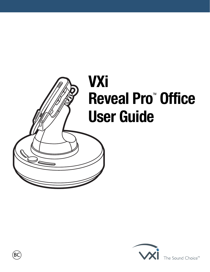# **VXi Reveal Pro<sup>™</sup> Office User Guide**



βĊ



The Sound Choice<sup>™</sup>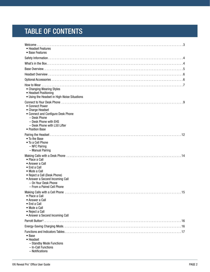# TABLE OF CONTENTS

| • Headset Features<br>• Base Features                                                                                                                                                       |
|---------------------------------------------------------------------------------------------------------------------------------------------------------------------------------------------|
|                                                                                                                                                                                             |
|                                                                                                                                                                                             |
|                                                                                                                                                                                             |
|                                                                                                                                                                                             |
|                                                                                                                                                                                             |
| • Changing Wearing Styles<br>• Headset Positioning<br>• Using the Headset in High-Noise Situations                                                                                          |
| • Connect Power<br>• Charge Headset<br>• Connect and Configure Desk Phone<br>- Desk Phone<br>- Desk Phone with EHS<br>- Desk Phone with L50 Lifter<br>• Position Base                       |
| • To the Base<br>• To a Cell Phone<br>- NFC Pairing<br>- Manual Pairing                                                                                                                     |
| • Place a Call<br>• Answer a Call<br>• End a Call<br>• Mute a Call<br>• Reject a Call (Desk Phone)<br>• Answer a Second Incoming Call<br>- On Your Desk Phone<br>- From a Paired Cell Phone |
| • Place a Call<br>• Answer a Call<br>• End a Call<br>• Mute a Call<br>• Reject a Call<br>• Answer a Second Incoming Call                                                                    |
|                                                                                                                                                                                             |
|                                                                                                                                                                                             |
| $\bullet$ Base<br>• Headset<br>- Standby Mode Functions<br>- In-Call Functions<br>- Notifications                                                                                           |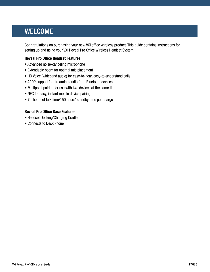# <span id="page-2-0"></span>WELCOME

Congratulations on purchasing your new VXi office wireless product. This guide contains instructions for setting up and using your VXi Reveal Pro Office Wireless Headset System.

#### **Reveal Pro Office Headset Features**

- Advanced noise-canceling microphone
- Extendable boom for optimal mic placement
- HD Voice (wideband audio) for easy-to-hear, easy-to-understand calls
- A2DP support for streaming audio from Bluetooth devices
- Multipoint pairing for use with two devices at the same time
- NFC for easy, instant mobile device pairing
- 7+ hours of talk time/150 hours' standby time per charge

#### **Reveal Pro Office Base Features**

- Headset Docking/Charging Cradle
- Connects to Desk Phone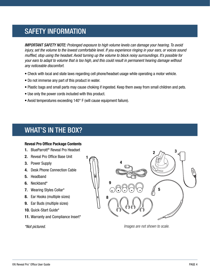# <span id="page-3-0"></span>SAFETY INFORMATION

*IMPORTANT SAFETY NOTE: Prolonged exposure to high volume levels can damage your hearing. To avoid injury, set the volume to the lowest comfortable level. If you experience ringing in your ears, or voices sound muffled, stop using the headset. Avoid turning up the volume to block noisy surroundings. It's possible for your ears to adapt to volume that is too high, and this could result in permanent hearing damage without any noticeable discomfort.*

- Check with local and state laws regarding cell phone/headset usage while operating a motor vehicle.
- Do not immerse any part of this product in water.
- Plastic bags and small parts may cause choking if ingested. Keep them away from small children and pets.
- Use only the power cords included with this product.
- Avoid temperatures exceeding 140° F (will cause equipment failure).

**1**

# <span id="page-3-1"></span>WHAT'S IN THE BOX?

#### **Reveal Pro Office Package Contents**

- **1.** BlueParrott® Reveal Pro Headset
- **2.** Reveal Pro Office Base Unit
- **3.** Power Supply
- **4.** Desk Phone Connection Cable
- **5.** Headband
- **6.** Neckband\*
- **7.** Wearing Styles Collar\*
- **8.** Ear Hooks (multiple sizes)
- **9.** Ear Buds (multiple sizes)
- **10.** Quick-Start Guide\*
- 11. Warranty and Compliance Insert\*

*\*Not pictured.*



*Images are not shown to scale.*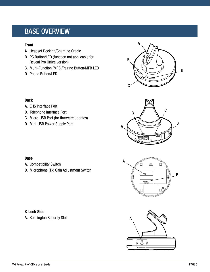# <span id="page-4-0"></span>BASE OVERVIEW

#### **Front**

**Back**

- A. Headset Docking/Charging Cradle
- B. PC Button/LED (function not applicable for Reveal Pro Office version)
- C. Multi-Function (MFB)/Pairing Button/MFB LED
- D. Phone Button/LED

A. EHS Interface Port

B. Telephone Interface Port

D. Mini-USB Power Supply Port

C. Micro-USB Port (for firmware updates)





#### **Base**

- A. Compatibility Switch
- B. Microphone (Tx) Gain Adjustment Switch

**K-Lock Side** A. Kensington Security Slot



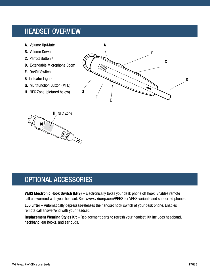# <span id="page-5-0"></span>HEADSET OVERVIEW

- **A.** Volume Up/Mute
- **B.** Volume Down
- **C.** Parrott Button™
- **D.** Extendable Microphone Boom
- **E.** On/Off Switch
- **F.** Indicator Lights
- **G.** Multifunction Button (MFB)
- **H.** NFC Zone (pictured below)





# <span id="page-5-1"></span>OPTIONAL ACCESSORIES

**VEHS Electronic Hook Switch (EHS)** – Electronically takes your desk phone off hook. Enables remote call answer/end with your headset. See [www.vxicorp.com/VEHS](http://www.vxicorp.com/VEHS) for VEHS variants and supported phones.

**L50 Lifter** – Automatically depresses/releases the handset hook switch of your desk phone. Enables remote call answer/end with your headset.

**Replacement Wearing Styles Kit** – Replacement parts to refresh your headset. Kit includes headband, neckband, ear hooks, and ear buds.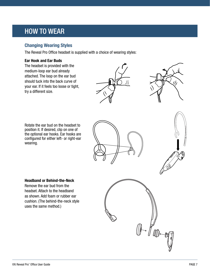# <span id="page-6-0"></span>HOW TO WEAR

### **Changing Wearing Styles**

The Reveal Pro Office headset is supplied with a choice of wearing styles:

#### **Ear Hook and Ear Buds**

The headset is provided with the medium-loop ear bud already attached. The loop on the ear bud should tuck into the back curve of your ear. If it feels too loose or tight, try a different size.





Rotate the ear bud on the headset to position it. If desired, clip on one of the optional ear hooks. Ear hooks are configured for either left- or right-ear wearing.





### **Headband or Behind-the-Neck**

Remove the ear bud from the headset. Attach to the headband as shown. Add foam or rubber ear cushion. (The behind-the-neck style uses the same method.)

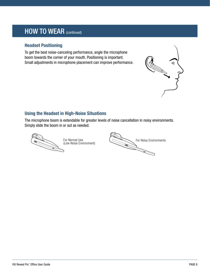# HOW TO WEAR (continued)

### **Headset Positioning**

To get the best noise-canceling performance, angle the microphone boom towards the corner of your mouth. Positioning is important. Small adjustments in microphone placement can improve performance.



### **Using the Headset in High-Noise Situations**

The microphone boom is extendable for greater levels of noise cancellation in noisy environments. Simply slide the boom in or out as needed.



For Normal Use

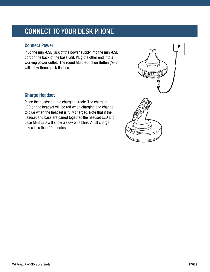# <span id="page-8-0"></span>CONNECT TO YOUR DESK PHONE

### **Connect Power**

Plug the mini-USB jack of the power supply into the mini-USB port on the back of the base unit. Plug the other end into a working power outlet. The round Multi-Function Button (MFB) will show three quick flashes.

### **Charge Headset**

Place the headset in the charging cradle. The charging LED on the headset will be red when charging and change to blue when the headset is fully charged. Note that if the headset and base are paired together, the headset LED and base MFB LED will show a slow blue blink. A full charge takes less than 90 minutes.

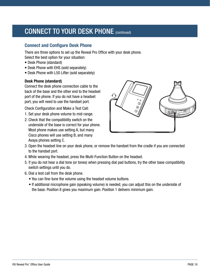# CONNECT TO YOUR DESK PHONE (continued)

### **Connect and Configure Desk Phone**

There are three options to set up the Reveal Pro Office with your desk phone. Select the best option for your situation:

- Desk Phone (standard)
- Desk Phone with EHS (sold separately)
- Desk Phone with L50 Lifter (sold separately)

#### **Desk Phone (standard)**

Connect the desk phone connection cable to the back of the base and the other end to the headset port of the phone. If you do not have a headset port, you will need to use the handset port.

Check Configuration and Make a Test Call:

- 1. Set your desk phone volume to mid-range.
- 2. Check that the compatibility switch on the underside of the base is correct for your phone. Most phone makes use setting A, but many Cisco phones will use setting B, and many Avaya phones setting C.



- 3. Open the headset line on your desk phone, or remove the handset from the cradle if you are connected to the handset port.
- 4. While wearing the headset, press the Multi-Function Button on the headset.
- 5. |f you do not hear a dial tone (or tones) when pressing dial pad buttons, try the other base compatibility switch settings until you do.
- 6. Dial a test call from the desk phone.
	- You can fine-tune the volume using the headset volume buttons.
	- If additional microphone gain (speaking volume) is needed, you can adjust this on the underside of the base. Position 8 gives you maximum gain. Position 1 delivers minimum gain.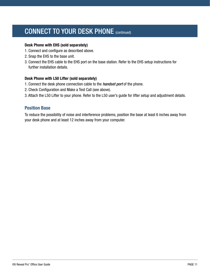# CONNECT TO YOUR DESK PHONE (continued)

#### **Desk Phone with EHS (sold separately)**

- 1. Connect and configure as described above.
- 2. Snap the EHS to the base unit.
- 3. Connect the EHS cable to the EHS port on the base station. Refer to the EHS setup instructions for further installation details.

#### **Desk Phone with L50 Lifter (sold separately)**

- 1. Connect the desk phone connection cable to the *handset port* of the phone.
- 2. Check Configuration and Make a Test Call (see above).
- 3. Attach the L50 Lifter to your phone. Refer to the L50 user's guide for lifter setup and adjustment details.

#### **Position Base**

To reduce the possibility of noise and interference problems, position the base at least 6 inches away from your desk phone and at least 12 inches away from your computer.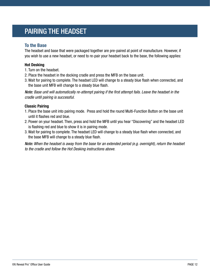# <span id="page-11-0"></span>PAIRING THE HEADSET

### **To the Base**

The headset and base that were packaged together are pre-paired at point of manufacture. However, if you wish to use a new headset, or need to re-pair your headset back to the base, the following applies:

#### **Hot Desking**

- 1. Turn on the headset.
- 2. Place the headset in the docking cradle and press the MFB on the base unit.
- 3. Wait for pairing to complete. The headset LED will change to a steady blue flash when connected, and the base unit MFB will change to a steady blue flash.

*Note: Base unit will automatically re-attempt pairing if the first attempt fails. Leave the headset in the cradle until pairing is successful.*

#### **Classic Pairing**

- 1. Place the base unit into pairing mode. Press and hold the round Multi-Function Button on the base unit until it flashes red and blue.
- 2. Power on your headset. Then, press and hold the MFB until you hear "Discovering" and the headset LED is flashing red and blue to show it is in pairing mode.
- 3. Wait for pairing to complete. The headset LED will change to a steady blue flash when connected, and the base MFB will change to a steady blue flash.

*Note: When the headset is away from the base for an extended period (e.g. overnight), return the headset to the cradle and follow the Hot Desking instructions above.*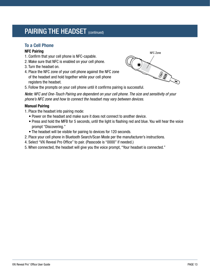# PAIRING THE HEADSET (COntinued)

### **To a Cell Phone**

#### **NFC Pairing**

- 1. Confirm that your cell phone is NFC-capable.
- 2. Make sure that NFC is enabled on your cell phone.
- 3. Turn the headset on.
- 4. Place the NFC zone of your cell phone against the NFC zone of the headset and hold together while your cell phone registers the headset.



5. Follow the prompts on your cell phone until it confirms pairing is successful.

*Note: NFC and One-Touch Pairing are dependent on your cell phone. The size and sensitivity of your phone's NFC zone and how to connect the headset may vary between devices.*

#### **Manual Pairing**

- 1. Place the headset into pairing mode:
	- Power on the headset and make sure it does not connect to another device.
	- Press and hold the MFB for 5 seconds, until the light is flashing red and blue. You will hear the voice prompt "Discovering."
	- The headset will be visible for pairing to devices for 120 seconds.
- 2. Place your cell phone in Bluetooth Search/Scan Mode per the manufacturer's instructions.
- 4. Select "VXi Reveal Pro Office" to pair. (Passcode is "0000" if needed.)
- 5. When connected, the headset will give you the voice prompt, "Your headset is connected."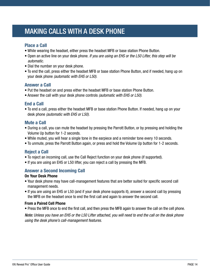# <span id="page-13-0"></span>MAKING CALLS WITH A DESK PHONE

### **Place a Call**

- While wearing the headset, either press the headset MFB or base station Phone Button.
- Open an active line on your desk phone. *If you are using an EHS or the L50 Lifter, this step will be automatic.*
- Dial the number on your desk phone.
- To end the call, press either the headset MFB or base station Phone Button, and if needed, hang up on your desk phone *(automatic with EHS or L50)*.

### **Answer a Call**

- Put the headset on and press either the headset MFB or base station Phone Button.
- Answer the call with your desk phone controls *(automatic with EHS or L50)*.

### **End a Call**

• To end a call, press either the headset MFB or base station Phone Button. If needed, hang up on your desk phone *(automatic with EHS or L50)*.

### **Mute a Call**

- During a call, you can mute the headset by pressing the Parrott Button, or by pressing and holding the Volume Up button for 1-2 seconds.
- While muted, you will hear a single tone in the earpiece and a reminder tone every 10 seconds.
- To unmute, press the Parrott Button again, or press and hold the Volume Up button for 1-2 seconds.

### **Reject a Call**

- To reject an incoming call, use the Call Reject function on your desk phone (if supported).
- If you are using an EHS or L50 lifter, you can reject a call by pressing the MFB.

#### **Answer a Second Incoming Call**

#### **On Your Desk Phone**

- Your desk phone may have call-management features that are better suited for specific second call management needs.
- If you are using an EHS or L50 (and if your desk phone supports it), answer a second call by pressing the MFB on the headset once to end the first call and again to answer the second call.

#### **From a Paired Cell Phone**

• Press the MFB once to end the first call, and then press the MFB again to answer the call on the cell phone.

*Note: Unless you have an EHS or the L50 Lifter attached, you will need to end the call on the desk phone using the desk phone's call-management features.*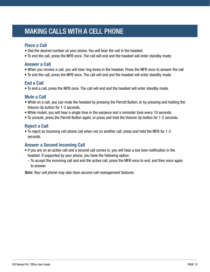# <span id="page-14-0"></span>MAKING CALLS WITH A CELL PHONE

### **Place a Call**

- Dial the desired number on your phone. You will hear the call in the headset.
- To end the call, press the MFB once. The call will end and the headset will enter standby mode.

### **Answer a Call**

- When you receive a call, you will hear ring tones in the headset. Press the MFB once to answer the call.
- To end the call, press the MFB once. The call will end and the headset will enter standby mode.

### **End a Call**

• To end a call, press the MFB once. The call will end and the headset will enter standby mode.

### **Mute a Call**

- While on a call, you can mute the headset by pressing the Parrott Button, or by pressing and holding the Volume Up button for 1-2 seconds.
- While muted, you will hear a single tone in the earpiece and a reminder tone every 10 seconds.
- To unmute, press the Parrott Button again, or press and hold the Volume Up button for 1-2 seconds.

### **Reject a Call**

• To reject an incoming cell phone call when not on another call, press and hold the MFB for 1-2 seconds.

### **Answer a Second Incoming Call**

- If you are on an active call and a second call comes in, you will hear a low tone notification in the headset. If supported by your phone, you have the following option:
	- To accept the incoming call and end the active call, press the MFB once to end, and then once again to answer.

*Note: Your cell phone may also have second-call-management features.*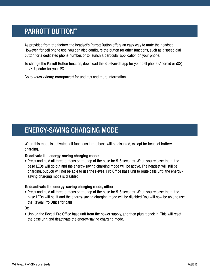# <span id="page-15-0"></span>**PARROTT BUTTON™**

As provided from the factory, the headset's Parrott Button offers an easy way to mute the headset. However, for cell phone use, you can also configure the button for other functions, such as a speed dial button for a dedicated phone number, or to launch a particular application on your phone.

To change the Parrott Button function, download the BlueParrott app for your cell phone (Android or iOS) or VXi Updater for your PC.

Go to www.vxicorp.com/parrott for updates and more information.

# <span id="page-15-1"></span>ENERGY-SAVING CHARGING MODE

When this mode is activated, all functions in the base will be disabled, except for headset battery charging.

#### **To activate the energy-saving charging mode:**

• Press and hold all three buttons on the top of the base for 5-6 seconds. When you release them, the base LEDs will go out and the energy-saving charging mode will be active. The headset will still be charging, but you will not be able to use the Reveal Pro Office base unit to route calls until the energysaving charging mode is disabled.

#### **To deactivate the energy-saving charging mode, either:**

• Press and hold all three buttons on the top of the base for 5-6 seconds. When you release them, the base LEDs will be lit and the energy-saving charging mode will be disabled. You will now be able to use the Reveal Pro Office for calls.

Or:

• Unplug the Reveal Pro Office base unit from the power supply, and then plug it back in. This will reset the base unit and deactivate the energy-saving charging mode.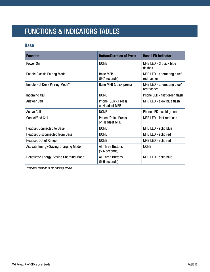# <span id="page-16-0"></span>FUNCTIONS & INDICATORS TABLES

### **Base**

| <b>Function</b>                        | <b>Button/Duration of Press</b>             | <b>Base LED Indicator</b>                  |
|----------------------------------------|---------------------------------------------|--------------------------------------------|
| Power On                               | <b>NONE</b>                                 | MFB LED - 3 quick blue<br>flashes          |
| <b>Enable Classic Pairing Mode</b>     | <b>Base MFB</b><br>$(6-7$ seconds)          | MFB LED - alternating blue/<br>red flashes |
| Enable Hot Desk Pairing Mode*          | Base MFB (quick press)                      | MFB LED - alternating blue/<br>red flashes |
| <b>Incoming Call</b>                   | <b>NONE</b>                                 | Phone LED - fast green flash               |
| Answer Call                            | Phone (Quick Press)<br>or Headset MFB       | MFB LED - slow blue flash                  |
| <b>Active Call</b>                     | <b>NONE</b>                                 | Phone LED - solid green                    |
| Cancel/End Call                        | Phone (Quick Press)<br>or Headset MFB       | MFB LED - fast red flash                   |
| <b>Headset Connected to Base</b>       | <b>NONE</b>                                 | MFB LED - solid blue                       |
| <b>Headset Disconnected from Base</b>  | <b>NONE</b>                                 | MFB LED - solid red                        |
| Headset Out of Range                   | <b>NONE</b>                                 | MFB LED - solid red                        |
| Activate Energy-Saving Charging Mode   | <b>All Three Buttons</b><br>$(5-6$ seconds) | <b>NONE</b>                                |
| Deactivate Energy-Saving Charging Mode | <b>All Three Buttons</b><br>$(5-6$ seconds) | MFB LED - solid blue                       |

*\*Headset must be in the docking cradle.*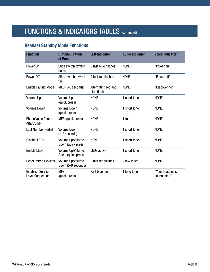# FUNCTIONS & INDICATORS TABLES (COntinued)

## **Headset Standby Mode Functions**

| <b>Function</b>                                     | <b>Button/Duration</b><br>of Press     | <b>LED Indicator</b>              | <b>Audio Indicator</b> | <b>Voice Indicator</b>         |
|-----------------------------------------------------|----------------------------------------|-----------------------------------|------------------------|--------------------------------|
| Power On                                            | Slide switch toward<br>boom            | 3 fast blue flashes               | <b>NONE</b>            | "Power on"                     |
| Power Off                                           | Slide switch toward<br>tail            | 4 fast red flashes                | <b>NONE</b>            | "Power off"                    |
| <b>Enable Pairing Mode</b>                          | MFB (5-6 seconds)                      | Alternating red and<br>blue flash | <b>NONE</b>            | "Discovering"                  |
| Volume Up                                           | Volume Up<br>(quick press)             | <b>NONE</b>                       | 1 short tone           | <b>NONE</b>                    |
| <b>Volume Down</b>                                  | <b>Volume Down</b><br>(quick press)    | <b>NONE</b>                       | 1 short tone           | <b>NONE</b>                    |
| <b>Phone Voice Control</b><br>(Start/End)           | MFB (quick press)                      | <b>NONE</b>                       | 1 tone                 | <b>NONE</b>                    |
| <b>Last Number Redial</b>                           | <b>Volume Down</b><br>$(1-2$ seconds)  | <b>NONE</b>                       | 1 short tone           | <b>NONE</b>                    |
| <b>Disable LEDs</b>                                 | Volume Up/Volume<br>Down (quick press) | <b>NONE</b>                       | 1 short tone           | <b>NONE</b>                    |
| <b>Enable LEDs</b>                                  | Volume Up/Volume<br>Down (quick press) | <b>LEDs active</b>                | 1 short tone           | <b>NONE</b>                    |
| <b>Reset Paired Devices</b>                         | Volume Up/Volume<br>Down (5-6 seconds) | 2 fast red flashes                | 2 low tones            | <b>NONE</b>                    |
| <b>Establish Service</b><br><b>Level Connection</b> | <b>MFB</b><br>(quick press)            | <b>Fast blue flash</b>            | 1 long tone            | "Your headset is<br>connected" |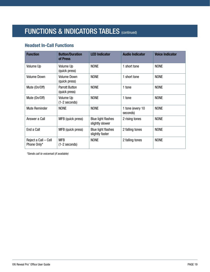# FUNCTIONS & INDICATORS TABLES (COntinued)

### **Headset In-Call Functions**

| <b>Function</b>                     | <b>Button/Duration</b><br>of Press     | <b>LED Indicator</b>                         | <b>Audio Indicator</b>       | <b>Voice Indicator</b> |
|-------------------------------------|----------------------------------------|----------------------------------------------|------------------------------|------------------------|
| Volume Up                           | Volume Up<br>(quick press)             | <b>NONE</b>                                  | 1 short tone                 | <b>NONE</b>            |
| <b>Volume Down</b>                  | Volume Down<br>(quick press)           | <b>NONE</b>                                  | 1 short tone                 | <b>NONE</b>            |
| Mute (On/Off)                       | <b>Parrott Button</b><br>(quick press) | <b>NONE</b>                                  | 1 tone                       | <b>NONE</b>            |
| Mute (On/Off)                       | Volume Up<br>$(1-2$ seconds)           | <b>NONE</b>                                  | 1 tone                       | <b>NONE</b>            |
| <b>Mute Reminder</b>                | <b>NONE</b>                            | <b>NONE</b>                                  | 1 tone (every 10<br>seconds) | <b>NONE</b>            |
| Answer a Call                       | MFB (quick press)                      | <b>Blue light flashes</b><br>slightly slower | 2 rising tones               | <b>NONE</b>            |
| End a Call                          | MFB (quick press)                      | <b>Blue light flashes</b><br>slightly faster | 2 falling tones              | <b>NONE</b>            |
| Reject a Call - Cell<br>Phone Only* | <b>MFB</b><br>$(1-2$ seconds)          | <b>NONE</b>                                  | 2 falling tones              | <b>NONE</b>            |

*\*Sends call to voicemail (if available)*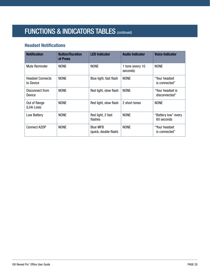# FUNCTIONS & INDICATORS TABLES (CONtinued)

### **Headset Notifications**

| <b>Notification</b>                  | <b>Button/Duration</b><br>of Press | <b>LED Indicator</b>                     | <b>Audio Indicator</b>       | <b>Voice Indicator</b>            |
|--------------------------------------|------------------------------------|------------------------------------------|------------------------------|-----------------------------------|
| <b>Mute Reminder</b>                 | <b>NONE</b>                        | <b>NONE</b>                              | 1 tone (every 10<br>seconds) | <b>NONE</b>                       |
| <b>Headset Connects</b><br>to Device | <b>NONE</b>                        | Blue light, fast flash                   | <b>NONE</b>                  | "Your headset<br>is connected"    |
| Disconnect from<br>Device            | <b>NONE</b>                        | Red light, slow flash                    | <b>NONE</b>                  | "Your headset is<br>disconnected" |
| Out of Range<br>(Link Loss)          | <b>NONE</b>                        | Red light, slow flash                    | 2 short tones                | <b>NONE</b>                       |
| Low Battery                          | <b>NONE</b>                        | Red light, 2 fast<br>flashes             | <b>NONE</b>                  | "Battery low" every<br>60 seconds |
| <b>Connect A2DP</b>                  | <b>NONE</b>                        | <b>Blue MFB</b><br>(quick, double-flash) | <b>NONE</b>                  | "Your headset<br>is connected"    |